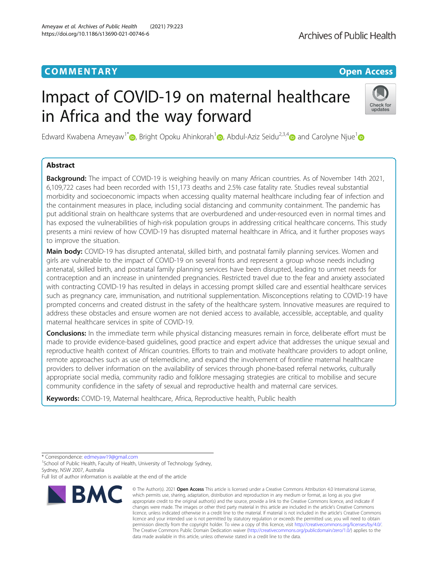# **COMMENTARY COMMENTARY COMMENTARY**

# Impact of COVID-19 on maternal healthcare in Africa and the way forward



Edward Kwabena Ameyaw<sup>1\*</sup> <sub>(b</sub>[,](http://orcid.org/0000-0001-7415-895X) Bright Opoku Ahinkorah<sup>1</sup> , Abdul-Aziz Seidu<sup>2,3,[4](http://orcid.org/0000-0001-9734-9054)</sup> and Carolyne Niue<sup>1</sup> and Carolyne Niue<sup>1</sup>

## Abstract

**Background:** The impact of COVID-19 is weighing heavily on many African countries. As of November 14th 2021, 6,109,722 cases had been recorded with 151,173 deaths and 2.5% case fatality rate. Studies reveal substantial morbidity and socioeconomic impacts when accessing quality maternal healthcare including fear of infection and the containment measures in place, including social distancing and community containment. The pandemic has put additional strain on healthcare systems that are overburdened and under-resourced even in normal times and has exposed the vulnerabilities of high-risk population groups in addressing critical healthcare concerns. This study presents a mini review of how COVID-19 has disrupted maternal healthcare in Africa, and it further proposes ways to improve the situation.

Main body: COVID-19 has disrupted antenatal, skilled birth, and postnatal family planning services. Women and girls are vulnerable to the impact of COVID-19 on several fronts and represent a group whose needs including antenatal, skilled birth, and postnatal family planning services have been disrupted, leading to unmet needs for contraception and an increase in unintended pregnancies. Restricted travel due to the fear and anxiety associated with contracting COVID-19 has resulted in delays in accessing prompt skilled care and essential healthcare services such as pregnancy care, immunisation, and nutritional supplementation. Misconceptions relating to COVID-19 have prompted concerns and created distrust in the safety of the healthcare system. Innovative measures are required to address these obstacles and ensure women are not denied access to available, accessible, acceptable, and quality maternal healthcare services in spite of COVID-19.

**Conclusions:** In the immediate term while physical distancing measures remain in force, deliberate effort must be made to provide evidence-based guidelines, good practice and expert advice that addresses the unique sexual and reproductive health context of African countries. Efforts to train and motivate healthcare providers to adopt online, remote approaches such as use of telemedicine, and expand the involvement of frontline maternal healthcare providers to deliver information on the availability of services through phone-based referral networks, culturally appropriate social media, community radio and folklore messaging strategies are critical to mobilise and secure community confidence in the safety of sexual and reproductive health and maternal care services.

Keywords: COVID-19, Maternal healthcare, Africa, Reproductive health, Public health

<sup>1</sup> School of Public Health, Faculty of Health, University of Technology Sydney, Sydney, NSW 2007, Australia

Full list of author information is available at the end of the article



<sup>©</sup> The Author(s), 2021 **Open Access** This article is licensed under a Creative Commons Attribution 4.0 International License, which permits use, sharing, adaptation, distribution and reproduction in any medium or format, as long as you give appropriate credit to the original author(s) and the source, provide a link to the Creative Commons licence, and indicate if changes were made. The images or other third party material in this article are included in the article's Creative Commons licence, unless indicated otherwise in a credit line to the material. If material is not included in the article's Creative Commons licence and your intended use is not permitted by statutory regulation or exceeds the permitted use, you will need to obtain permission directly from the copyright holder. To view a copy of this licence, visit [http://creativecommons.org/licenses/by/4.0/.](http://creativecommons.org/licenses/by/4.0/) The Creative Commons Public Domain Dedication waiver [\(http://creativecommons.org/publicdomain/zero/1.0/](http://creativecommons.org/publicdomain/zero/1.0/)) applies to the data made available in this article, unless otherwise stated in a credit line to the data.

<sup>\*</sup> Correspondence: [edmeyaw19@gmail.com](mailto:edmeyaw19@gmail.com) <sup>1</sup>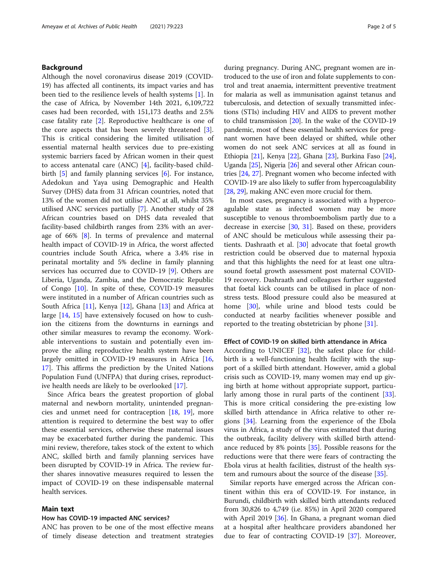#### Background

Although the novel coronavirus disease 2019 (COVID-19) has affected all continents, its impact varies and has been tied to the resilience levels of health systems [[1](#page-3-0)]. In the case of Africa, by November 14th 2021, 6,109,722 cases had been recorded, with 151,173 deaths and 2.5% case fatality rate [\[2](#page-3-0)]. Reproductive healthcare is one of the core aspects that has been severely threatened [\[3](#page-3-0)]. This is critical considering the limited utilisation of essential maternal health services due to pre-existing systemic barriers faced by African women in their quest to access antenatal care (ANC) [\[4](#page-3-0)], facility-based childbirth  $\overline{5}$  and family planning services  $\overline{6}$  $\overline{6}$  $\overline{6}$ . For instance, Adedokun and Yaya using Demographic and Health Survey (DHS) data from 31 African countries, noted that 13% of the women did not utilise ANC at all, whilst 35% utilised ANC services partially [[7\]](#page-3-0). Another study of 28 African countries based on DHS data revealed that facility-based childbirth ranges from 23% with an average of 66% [[8\]](#page-3-0). In terms of prevalence and maternal health impact of COVID-19 in Africa, the worst affected countries include South Africa, where a 3.4% rise in perinatal mortality and 5% decline in family planning services has occurred due to COVID-19 [\[9](#page-3-0)]. Others are Liberia, Uganda, Zambia, and the Democratic Republic of Congo [[10](#page-3-0)]. In spite of these, COVID-19 measures were instituted in a number of African countries such as South Africa [[11\]](#page-3-0), Kenya [[12\]](#page-4-0), Ghana [\[13\]](#page-4-0) and Africa at large [\[14](#page-4-0), [15\]](#page-4-0) have extensively focused on how to cushion the citizens from the downturns in earnings and other similar measures to revamp the economy. Workable interventions to sustain and potentially even improve the ailing reproductive health system have been largely omitted in COVID-19 measures in Africa [[16](#page-4-0), [17\]](#page-4-0). This affirms the prediction by the United Nations Population Fund (UNFPA) that during crises, reproductive health needs are likely to be overlooked [[17\]](#page-4-0).

Since Africa bears the greatest proportion of global maternal and newborn mortality, unintended pregnancies and unmet need for contraception [[18](#page-4-0), [19](#page-4-0)], more attention is required to determine the best way to offer these essential services, otherwise these maternal issues may be exacerbated further during the pandemic. This mini review, therefore, takes stock of the extent to which ANC, skilled birth and family planning services have been disrupted by COVID-19 in Africa. The review further shares innovative measures required to lessen the impact of COVID-19 on these indispensable maternal health services.

#### Main text

## How has COVID-19 impacted ANC services?

ANC has proven to be one of the most effective means of timely disease detection and treatment strategies during pregnancy. During ANC, pregnant women are introduced to the use of iron and folate supplements to control and treat anaemia, intermittent preventive treatment for malaria as well as immunisation against tetanus and tuberculosis, and detection of sexually transmitted infections (STIs) including HIV and AIDS to prevent mother to child transmission [[20](#page-4-0)]. In the wake of the COVID-19 pandemic, most of these essential health services for pregnant women have been delayed or shifted, while other women do not seek ANC services at all as found in Ethiopia [[21](#page-4-0)], Kenya [\[22\]](#page-4-0), Ghana [[23](#page-4-0)], Burkina Faso [[24](#page-4-0)], Uganda [[25](#page-4-0)], Nigeria [[26](#page-4-0)] and several other African countries [\[24,](#page-4-0) [27](#page-4-0)]. Pregnant women who become infected with COVID-19 are also likely to suffer from hypercoagulability [[28](#page-4-0), [29\]](#page-4-0), making ANC even more crucial for them.

In most cases, pregnancy is associated with a hypercoagulable state as infected women may be more susceptible to venous thromboembolism partly due to a decrease in exercise [\[30](#page-4-0), [31](#page-4-0)]. Based on these, providers of ANC should be meticulous while assessing their patients. Dashraath et al. [[30\]](#page-4-0) advocate that foetal growth restriction could be observed due to maternal hypoxia and that this highlights the need for at least one ultrasound foetal growth assessment post maternal COVID-19 recovery. Dashraath and colleagues further suggested that foetal kick counts can be utilised in place of nonstress tests. Blood pressure could also be measured at home [[30](#page-4-0)], while urine and blood tests could be conducted at nearby facilities whenever possible and reported to the treating obstetrician by phone [[31\]](#page-4-0).

## Effect of COVID-19 on skilled birth attendance in Africa

According to UNICEF [\[32\]](#page-4-0), the safest place for childbirth is a well-functioning health facility with the support of a skilled birth attendant. However, amid a global crisis such as COVID-19, many women may end up giving birth at home without appropriate support, particularly among those in rural parts of the continent [\[33](#page-4-0)]. This is more critical considering the pre-existing low skilled birth attendance in Africa relative to other regions [\[34](#page-4-0)]. Learning from the experience of the Ebola virus in Africa, a study of the virus estimated that during the outbreak, facility delivery with skilled birth attendance reduced by 8% points [\[35](#page-4-0)]. Possible reasons for the reductions were that there were fears of contracting the Ebola virus at health facilities, distrust of the health system and rumours about the source of the disease [\[35](#page-4-0)].

Similar reports have emerged across the African continent within this era of COVID-19. For instance, in Burundi, childbirth with skilled birth attendants reduced from 30,826 to 4,749 (i.e. 85%) in April 2020 compared with April 2019 [[36\]](#page-4-0). In Ghana, a pregnant woman died at a hospital after healthcare providers abandoned her due to fear of contracting COVID-19 [\[37](#page-4-0)]. Moreover,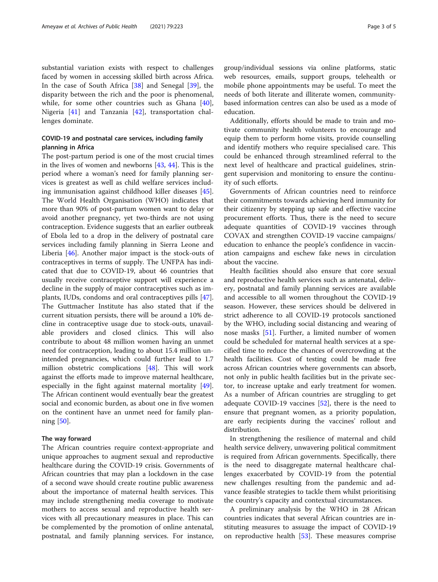substantial variation exists with respect to challenges faced by women in accessing skilled birth across Africa. In the case of South Africa [[38](#page-4-0)] and Senegal [[39\]](#page-4-0), the disparity between the rich and the poor is phenomenal, while, for some other countries such as Ghana [\[40](#page-4-0)], Nigeria [\[41](#page-4-0)] and Tanzania [\[42](#page-4-0)], transportation challenges dominate.

## COVID-19 and postnatal care services, including family planning in Africa

The post-partum period is one of the most crucial times in the lives of women and newborns [\[43](#page-4-0), [44](#page-4-0)]. This is the period where a woman's need for family planning services is greatest as well as child welfare services including immunisation against childhood killer diseases [\[45](#page-4-0)]. The World Health Organisation (WHO) indicates that more than 90% of post-partum women want to delay or avoid another pregnancy, yet two-thirds are not using contraception. Evidence suggests that an earlier outbreak of Ebola led to a drop in the delivery of postnatal care services including family planning in Sierra Leone and Liberia [\[46\]](#page-4-0). Another major impact is the stock-outs of contraceptives in terms of supply. The UNFPA has indicated that due to COVID-19, about 46 countries that usually receive contraceptive support will experience a decline in the supply of major contraceptives such as implants, IUDs, condoms and oral contraceptives pills [\[47](#page-4-0)]. The Guttmacher Institute has also stated that if the current situation persists, there will be around a 10% decline in contraceptive usage due to stock-outs, unavailable providers and closed clinics. This will also contribute to about 48 million women having an unmet need for contraception, leading to about 15.4 million unintended pregnancies, which could further lead to 1.7 million obstetric complications [[48](#page-4-0)]. This will work against the efforts made to improve maternal healthcare, especially in the fight against maternal mortality [\[49](#page-4-0)]. The African continent would eventually bear the greatest social and economic burden, as about one in five women on the continent have an unmet need for family planning [[50\]](#page-4-0).

#### The way forward

The African countries require context-appropriate and unique approaches to augment sexual and reproductive healthcare during the COVID-19 crisis. Governments of African countries that may plan a lockdown in the case of a second wave should create routine public awareness about the importance of maternal health services. This may include strengthening media coverage to motivate mothers to access sexual and reproductive health services with all precautionary measures in place. This can be complemented by the promotion of online antenatal, postnatal, and family planning services. For instance,

group/individual sessions via online platforms, static web resources, emails, support groups, telehealth or mobile phone appointments may be useful. To meet the needs of both literate and illiterate women, communitybased information centres can also be used as a mode of education.

Additionally, efforts should be made to train and motivate community health volunteers to encourage and equip them to perform home visits, provide counselling and identify mothers who require specialised care. This could be enhanced through streamlined referral to the next level of healthcare and practical guidelines, stringent supervision and monitoring to ensure the continuity of such efforts.

Governments of African countries need to reinforce their commitments towards achieving herd immunity for their citizenry by stepping up safe and effective vaccine procurement efforts. Thus, there is the need to secure adequate quantities of COVID-19 vaccines through COVAX and strengthen COVID-19 vaccine campaigns/ education to enhance the people's confidence in vaccination campaigns and eschew fake news in circulation about the vaccine.

Health facilities should also ensure that core sexual and reproductive health services such as antenatal, delivery, postnatal and family planning services are available and accessible to all women throughout the COVID-19 season. However, these services should be delivered in strict adherence to all COVID-19 protocols sanctioned by the WHO, including social distancing and wearing of nose masks [[51](#page-4-0)]. Further, a limited number of women could be scheduled for maternal health services at a specified time to reduce the chances of overcrowding at the health facilities. Cost of testing could be made free across African countries where governments can absorb, not only in public health facilities but in the private sector, to increase uptake and early treatment for women. As a number of African countries are struggling to get adequate COVID-19 vaccines [\[52](#page-4-0)], there is the need to ensure that pregnant women, as a priority population, are early recipients during the vaccines' rollout and distribution.

In strengthening the resilience of maternal and child health service delivery, unwavering political commitment is required from African governments. Specifically, there is the need to disaggregate maternal healthcare challenges exacerbated by COVID-19 from the potential new challenges resulting from the pandemic and advance feasible strategies to tackle them whilst prioritising the country's capacity and contextual circumstances.

A preliminary analysis by the WHO in 28 African countries indicates that several African countries are instituting measures to assuage the impact of COVID-19 on reproductive health [\[53](#page-4-0)]. These measures comprise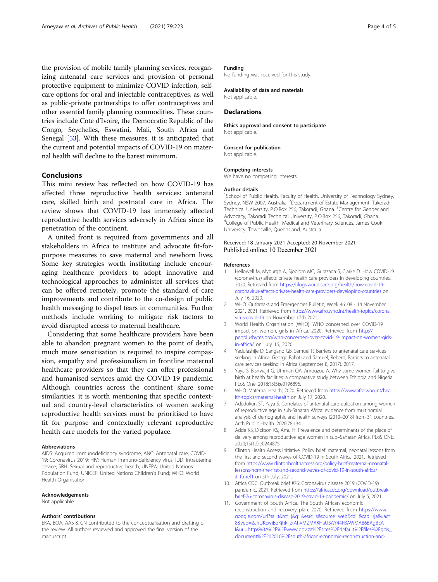<span id="page-3-0"></span>the provision of mobile family planning services, reorganizing antenatal care services and provision of personal protective equipment to minimize COVID infection, selfcare options for oral and injectable contraceptives, as well as public-private partnerships to offer contraceptives and other essential family planning commodities. These countries include Cote d'Ivoire, the Democratic Republic of the Congo, Seychelles, Eswatini, Mali, South Africa and Senegal [\[53\]](#page-4-0). With these measures, it is anticipated that the current and potential impacts of COVID-19 on maternal health will decline to the barest minimum.

#### Conclusions

This mini review has reflected on how COVID-19 has affected three reproductive health services: antenatal care, skilled birth and postnatal care in Africa. The review shows that COVID-19 has immensely affected reproductive health services adversely in Africa since its penetration of the continent.

A united front is required from governments and all stakeholders in Africa to institute and advocate fit-forpurpose measures to save maternal and newborn lives. Some key strategies worth instituting include encouraging healthcare providers to adopt innovative and technological approaches to administer all services that can be offered remotely, promote the standard of care improvements and contribute to the co-design of public health messaging to dispel fears in communities. Further methods include working to mitigate risk factors to avoid disrupted access to maternal healthcare.

Considering that some healthcare providers have been able to abandon pregnant women to the point of death, much more sensitisation is required to inspire compassion, empathy and professionalism in frontline maternal healthcare providers so that they can offer professional and humanised services amid the COVID-19 pandemic. Although countries across the continent share some similarities, it is worth mentioning that specific contextual and country-level characteristics of women seeking reproductive health services must be prioritised to have fit for purpose and contextually relevant reproductive health care models for the varied populace.

#### Abbreviations

AIDS: Acquired Immunodeficiency syndrome; ANC: Antenatal care; COVID-19: Coronavirus 2019; HIV: Human Immuno-deficiency virus; IUD: Intrauterine device; SRH: Sexual and reproductive health; UNFPA: United Nations Population Fund; UNICEF: United Nations Children's Fund; WHO: World Health Organisation

#### Acknowledgements

Not applicable.

#### Authors' contributions

EKA, BOA, AAS & CN contributed to the conceptualisation and drafting of the review. All authors reviewed and approved the final version of the manuscript.

#### Funding

No funding was received for this study.

Availability of data and materials Not applicable.

#### **Declarations**

Ethics approval and consent to participate Not applicable.

#### Consent for publication Not applicable.

# Competing interests

We have no competing interests.

#### Author details

<sup>1</sup>School of Public Health, Faculty of Health, University of Technology Sydney, Sydney, NSW 2007, Australia. <sup>2</sup> Department of Estate Management, Takoradi Technical University, P.O.Box 256, Takoradi, Ghana. <sup>3</sup>Centre for Gender and Advocacy, Takoradi Technical University, P.O.Box 256, Takoradi, Ghana. 4 College of Public Health, Medical and Veterinary Sciences, James Cook University, Townsville, Queensland, Australia.

#### Received: 18 January 2021 Accepted: 20 November 2021 Published online: 10 December 2021

#### References

- 1. Hellowell M, Myburgh A, Sjoblom MC, Gurazada S, Clarke D. How COVID-19 (coronavirus) affects private health care providers in developing countries. 2020. Retrieved from [https://blogs.worldbank.org/health/how-covid-19](https://blogs.worldbank.org/health/how-covid-19-coronavirus-affects-private-health-care-providers-developing-countries) [coronavirus-affects-private-health-care-providers-developing-countries](https://blogs.worldbank.org/health/how-covid-19-coronavirus-affects-private-health-care-providers-developing-countries) on July 16, 2020.
- 2. WHO. Outbreaks and Emergencies Bulletin, Week 46: 08 14 November 2021. 2021. Retrieved from [https://www.afro.who.int/health-topics/corona](https://www.afro.who.int/health-topics/coronavirus-covid-19) [virus-covid-19](https://www.afro.who.int/health-topics/coronavirus-covid-19) on November 17th 2021.
- 3. World Health Organisation [WHO]. WHO concerned over COVID-19 impact on women, girls in Africa. 2020. Retrieved from [http://](http://penplusbytes.org/who-concerned-over-covid-19-impact-on-women-girls-in-africa/) [penplusbytes.org/who-concerned-over-covid-19-impact-on-women-girls](http://penplusbytes.org/who-concerned-over-covid-19-impact-on-women-girls-in-africa/)[in-africa/](http://penplusbytes.org/who-concerned-over-covid-19-impact-on-women-girls-in-africa/) on July 16, 2020.
- 4. Yadufashije D, Sangano GB, Samuel R. Barriers to antenatal care services seeking in Africa. George Bahati and Samuel, Rebero, Barriers to antenatal care services seeking in Africa (September 8, 2017). 2017.
- 5. Yaya S, Bishwajit G, Uthman OA, Amouzou A. Why some women fail to give birth at health facilities: a comparative study between Ethiopia and Nigeria. PLoS One. 2018;13(5):e0196896.
- 6. WHO. Maternal Health; 2020. Retrieved from [https://www.afro.who.int/hea](https://www.afro.who.int/health-topics/maternal-health) [lth-topics/maternal-health](https://www.afro.who.int/health-topics/maternal-health) on July 17, 2020.
- 7. Adedokun ST, Yaya S. Correlates of antenatal care utilization among women of reproductive age in sub-Saharan Africa: evidence from multinomial analysis of demographic and health surveys (2010–2018) from 31 countries. Arch Public Health. 2020;78:134.
- 8. Adde KS, Dickson KS, Amu H. Prevalence and determinants of the place of delivery among reproductive age women in sub–Saharan Africa. PLoS ONE. 2020;15(12):e0244875.
- 9. Clinton Health Access Initiative. Policy brief: maternal, neonatal lessons from the first and second waves of COVID-19 in South Africa. 2021. Retrieved from [https://www.clintonhealthaccess.org/policy-brief-maternal-neonatal](https://www.clintonhealthaccess.org/policy-brief-maternal-neonatal-lessons-from-the-first-and-second-waves-of-covid-19-in-south-africa/#_ftnref1)[lessons-from-the-first-and-second-waves-of-covid-19-in-south-africa/](https://www.clintonhealthaccess.org/policy-brief-maternal-neonatal-lessons-from-the-first-and-second-waves-of-covid-19-in-south-africa/#_ftnref1) [#\\_ftnref1](https://www.clintonhealthaccess.org/policy-brief-maternal-neonatal-lessons-from-the-first-and-second-waves-of-covid-19-in-south-africa/#_ftnref1) on 5th July, 2021.
- 10. Africa CDC. Outbreak brief #76: Coronavirus disease 2019 (COVID-19) pandemic. 2021. Retrieved from [https://africacdc.org/download/outbreak](https://africacdc.org/download/outbreak-brief-76-coronavirus-disease-2019-covid-19-pandemic/)[brief-76-coronavirus-disease-2019-covid-19-pandemic/](https://africacdc.org/download/outbreak-brief-76-coronavirus-disease-2019-covid-19-pandemic/) on July 5, 2021.
- 11. Government of South Africa. The South African economic reconstruction and recovery plan. 2020. Retrieved from [https://www.](https://www.google.com/url?sa=t&rct=j&q=&esrc=s&source=web&cd=&cad=rja&uact=8&ved=2ahUKEwiBoKjhk_ztAhVMZMAKHaU3AY44FBAWMAB6BAgBEAI&url=https%3A%2F%2Fwww.gov.za%2Fsites%2Fdefault%2Ffiles%2Fgcis_document%2F202010%2Fsouth-african-economic-reconstruction-and-recovery-plan.pdf&usg=AOvVaw1CbHThWw5zM2OmdCKTxLLP) [google.com/url?sa=t&rct=j&q=&esrc=s&source=web&cd=&cad=rja&uact=](https://www.google.com/url?sa=t&rct=j&q=&esrc=s&source=web&cd=&cad=rja&uact=8&ved=2ahUKEwiBoKjhk_ztAhVMZMAKHaU3AY44FBAWMAB6BAgBEAI&url=https%3A%2F%2Fwww.gov.za%2Fsites%2Fdefault%2Ffiles%2Fgcis_document%2F202010%2Fsouth-african-economic-reconstruction-and-recovery-plan.pdf&usg=AOvVaw1CbHThWw5zM2OmdCKTxLLP) [8&ved=2ahUKEwiBoKjhk\\_ztAhVMZMAKHaU3AY44FBAWMAB6BAgBEA](https://www.google.com/url?sa=t&rct=j&q=&esrc=s&source=web&cd=&cad=rja&uact=8&ved=2ahUKEwiBoKjhk_ztAhVMZMAKHaU3AY44FBAWMAB6BAgBEAI&url=https%3A%2F%2Fwww.gov.za%2Fsites%2Fdefault%2Ffiles%2Fgcis_document%2F202010%2Fsouth-african-economic-reconstruction-and-recovery-plan.pdf&usg=AOvVaw1CbHThWw5zM2OmdCKTxLLP) [I&url=https%3A%2F%2Fwww.gov.za%2Fsites%2Fdefault%2Ffiles%2Fgcis\\_](https://www.google.com/url?sa=t&rct=j&q=&esrc=s&source=web&cd=&cad=rja&uact=8&ved=2ahUKEwiBoKjhk_ztAhVMZMAKHaU3AY44FBAWMAB6BAgBEAI&url=https%3A%2F%2Fwww.gov.za%2Fsites%2Fdefault%2Ffiles%2Fgcis_document%2F202010%2Fsouth-african-economic-reconstruction-and-recovery-plan.pdf&usg=AOvVaw1CbHThWw5zM2OmdCKTxLLP) [document%2F202010%2Fsouth-african-economic-reconstruction-and-](https://www.google.com/url?sa=t&rct=j&q=&esrc=s&source=web&cd=&cad=rja&uact=8&ved=2ahUKEwiBoKjhk_ztAhVMZMAKHaU3AY44FBAWMAB6BAgBEAI&url=https%3A%2F%2Fwww.gov.za%2Fsites%2Fdefault%2Ffiles%2Fgcis_document%2F202010%2Fsouth-african-economic-reconstruction-and-recovery-plan.pdf&usg=AOvVaw1CbHThWw5zM2OmdCKTxLLP)